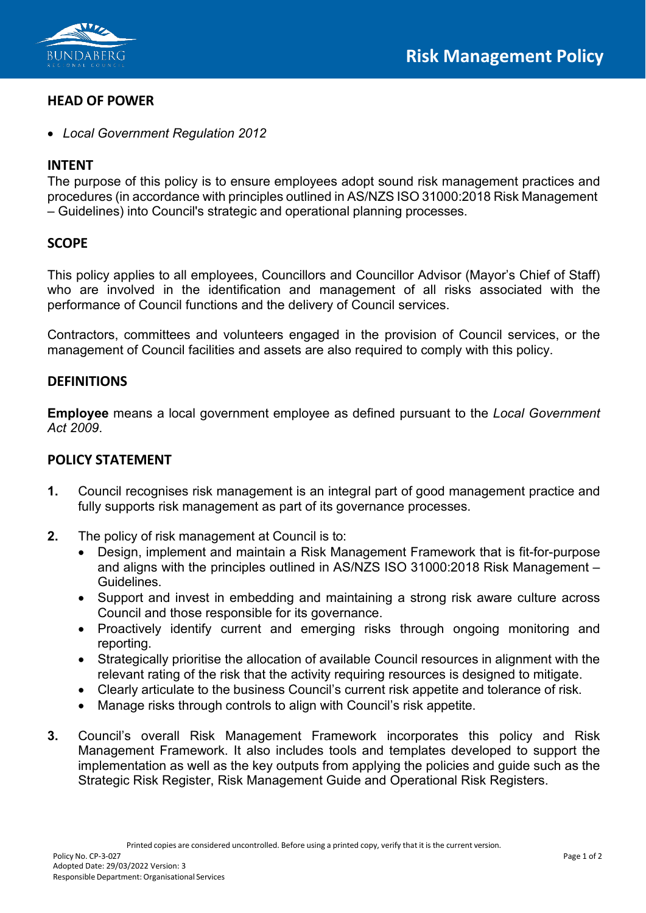

#### **HEAD OF POWER**

• *Local Government Regulation 2012*

## **INTENT**

The purpose of this policy is to ensure employees adopt sound risk management practices and procedures (in accordance with principles outlined in AS/NZS ISO 31000:2018 Risk Management – Guidelines) into Council's strategic and operational planning processes.

# **SCOPE**

This policy applies to all employees, Councillors and Councillor Advisor (Mayor's Chief of Staff) who are involved in the identification and management of all risks associated with the performance of Council functions and the delivery of Council services.

Contractors, committees and volunteers engaged in the provision of Council services, or the management of Council facilities and assets are also required to comply with this policy.

## **DEFINITIONS**

**Employee** means a local government employee as defined pursuant to the *Local Government Act 2009*.

#### **POLICY STATEMENT**

- **1.** Council recognises risk management is an integral part of good management practice and fully supports risk management as part of its governance processes.
- **2.** The policy of risk management at Council is to:
	- Design, implement and maintain a Risk Management Framework that is fit-for-purpose and aligns with the principles outlined in AS/NZS ISO 31000:2018 Risk Management – Guidelines.
	- Support and invest in embedding and maintaining a strong risk aware culture across Council and those responsible for its governance.
	- Proactively identify current and emerging risks through ongoing monitoring and reporting.
	- Strategically prioritise the allocation of available Council resources in alignment with the relevant rating of the risk that the activity requiring resources is designed to mitigate.
	- Clearly articulate to the business Council's current risk appetite and tolerance of risk.
	- Manage risks through controls to align with Council's risk appetite.
- **3.** Council's overall Risk Management Framework incorporates this policy and Risk Management Framework. It also includes tools and templates developed to support the implementation as well as the key outputs from applying the policies and guide such as the Strategic Risk Register, Risk Management Guide and Operational Risk Registers.